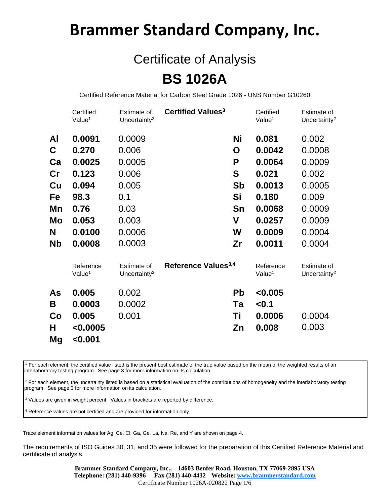## **Brammer Standard Company, Inc.**

## Certificate of Analysis **BS 1026A**

Certified Reference Material for Carbon Steel Grade 1026 - UNS Number G10260

|               | Certified<br>Value <sup>1</sup> | Estimate of<br>Uncertainty <sup>2</sup> | Certified Values <sup>3</sup>   |           | Certified<br>Value <sup>1</sup> | Estimate of<br>Uncertainty <sup>2</sup> |
|---------------|---------------------------------|-----------------------------------------|---------------------------------|-----------|---------------------------------|-----------------------------------------|
| Al            | 0.0091                          | 0.0009                                  |                                 | Ni        | 0.081                           | 0.002                                   |
| C             | 0.270                           | 0.006                                   |                                 | O         | 0.0042                          | 0.0008                                  |
| Ca            | 0.0025                          | 0.0005                                  |                                 | P         | 0.0064                          | 0.0009                                  |
| $\mathsf{Cr}$ | 0.123                           | 0.006                                   |                                 | S         | 0.021                           | 0.002                                   |
| Cu            | 0.094                           | 0.005                                   |                                 | <b>Sb</b> | 0.0013                          | 0.0005                                  |
| Fe            | 98.3                            | 0.1                                     |                                 | Si        | 0.180                           | 0.009                                   |
| Mn            | 0.76                            | 0.03                                    |                                 | Sn        | 0.0068                          | 0.0009                                  |
| Mo            | 0.053                           | 0.003                                   |                                 | V         | 0.0257                          | 0.0009                                  |
| N             | 0.0100                          | 0.0006                                  |                                 | W         | 0.0009                          | 0.0004                                  |
| Nb            | 0.0008                          | 0.0003                                  |                                 | Zr        | 0.0011                          | 0.0004                                  |
|               | Reference<br>Value <sup>1</sup> | Estimate of<br>Uncertainty <sup>2</sup> | Reference Values <sup>3,4</sup> |           | Reference<br>Value <sup>1</sup> | Estimate of<br>Uncertainty <sup>2</sup> |
| As            | 0.005                           | 0.002                                   |                                 | <b>Pb</b> | < 0.005                         |                                         |
| Β             | 0.0003                          | 0.0002                                  |                                 | Ta        | < 0.1                           |                                         |
| Co            | 0.005                           | 0.001                                   |                                 | Τi        | 0.0006                          | 0.0004                                  |
| н             | < 0.0005                        |                                         |                                 | Zn        | 0.008                           | 0.003                                   |
| Mg            | < 0.001                         |                                         |                                 |           |                                 |                                         |

<sup>1</sup> For each element, the certified value listed is the present best estimate of the true value based on the mean of the weighted results of an interlaboratory testing program. See page 3 for more information on its calculation.

<sup>2</sup> For each element, the uncertainty listed is based on a statistical evaluation of the contributions of homogeneity and the interlaboratory testing program. See page 3 for more information on its calculation.

<sup>3</sup> Values are given in weight percent. Values in brackets are reported by difference.

<sup>4</sup> Reference values are not certified and are provided for information only.

Trace element information values for Ag, Ce, Cl, Ga, Ge, La, Na, Re, and Y are shown on page 4.

The requirements of ISO Guides 30, 31, and 35 were followed for the preparation of this Certified Reference Material and certificate of analysis.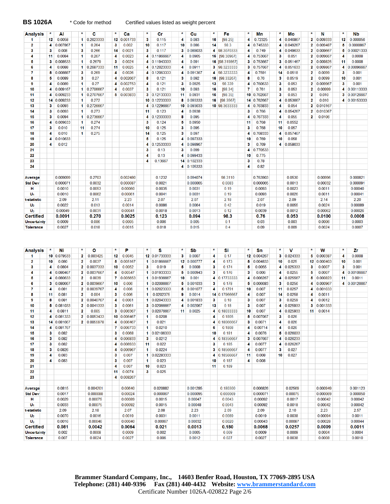**BS 1026A** \* Code for method Certified values listed as weight percent

| <b>Analysis</b>                        |    | Al               | *                       | с                | ×               | Ca               | *                    | Сr                   | *  | Cu               | *  | Fe             | *  | Мn               | *  | Мо               | $\star$         | N                | ×  | Nb               |
|----------------------------------------|----|------------------|-------------------------|------------------|-----------------|------------------|----------------------|----------------------|----|------------------|----|----------------|----|------------------|----|------------------|-----------------|------------------|----|------------------|
| 1                                      | 12 | 0.0058           | 1                       | 0.2623333        | 12 <sup>1</sup> | 0.001733         | 3                    | 0.115                | 4  | 0.083            | 16 | [98.25]        | 4  | 0.72325          | 4  | 0.046867         | 2               | 0.009333         | 12 | 0.000056         |
| $\overline{2}$                         | 4  | 0.007867         | 1                       | 0.264            | 3               | 0.002            | 10                   | 0.117                | 10 | 0.086            | 14 | 98.3           | 4  | 0.745333         | 4  | 0.049267         | 2               | 0.009487         | 5  | 0.0000867        |
|                                        |    |                  |                         |                  |                 |                  |                      |                      |    |                  |    |                |    |                  |    |                  |                 |                  |    |                  |
| 3                                      | 3  | 0.008            | 3                       | 0.266            | 14              | 0.0021           | 3                    | 0.117                | 3  | 0.089033         | 4  | 98.3070333     | 4  | 0.749            | 4  | 0.049633         | 2               | 0.009667         | 5  | 0.00021333       |
| 4                                      | 11 | 0.0084           | 1                       | 0.267            | 4               | 0.0023           |                      | 4 0.11866667         | 4  | 0.0905           | 16 | [98.30967]     | 4  | 0.753667         | 3  | 0.051            | 2               | 0.009667         | 4  | 0.0008           |
| 5                                      | з  | 0.008533         | 1                       | 0.2679           | 3               | 0.0024           |                      | 4 0.11943333         | 4  | 0.091            | 16 | [98.319867]    | 3  | 0.753667         | 3  | 0.051467         | 2               | 0.009825         | 11 | 0.0008           |
|                                        |    |                  |                         |                  |                 |                  |                      |                      |    |                  |    |                |    |                  |    |                  |                 |                  |    |                  |
| 6                                      | 4  | 0.0088           | 1                       | 0.2687333        | 11              | 0.0025           |                      | 4 0.12023333         | 4  | 0.0911           | 3  | 98.3233333     |    | 3 0.757667       | 4  | 0.051633         | 2               | 0.009867         | 4  | 0.00096667       |
| 7                                      | 5  | 0.008887         | 3                       | 0.269            | 4               | 0.0026           |                      | 4 0.12063333         | 4  | 0.091367         | 4  | 98.3233333     | 4  | 0.7591           | 14 | 0.0518           | 2               | 0.0099           | 3  | 0.001            |
|                                        |    |                  |                         |                  |                 |                  |                      |                      |    |                  |    |                |    |                  |    |                  |                 |                  |    |                  |
| 8                                      | 5  | 0.0089           | 3                       | 0.27             | 4               | 0.002667         | 8                    | 0.121                | 3  | 0.092            | 16 | [98.33267]     | 8  | 0.76             | 3  | 0.0519           | 2               | 0.0099           | 10 | 0.001            |
| 9                                      | 4  | 0.0089           | 1                       | 0.27             | 4               | 0.002753         | 4                    | 0.121                | 3  | 0.0925           | 13 | 98.339         | 4  | 0.760633         | 3  | 0.053            | 2               | 0.009967         | 3  | 0.001            |
| 10                                     | 4  | 0.009167         | 1                       | 0.2706667        | 4               | 0.0037           | 3                    | 0.121                | 10 | 0.093            | 16 | [98.34]        | 7  | 0.761            | 3  | 0.053            | 2               | 0.00999          | 4  | 0.00113333       |
|                                        |    |                  |                         |                  |                 |                  |                      |                      |    |                  |    |                |    |                  |    |                  |                 |                  |    |                  |
| 11                                     | 4  | 0.009233         | 1                       | 0.2707667        | 5               | 0.003833         | 3                    | 0.12133333           | 11 | 0.0931           | 16 | [98.35]        | 10 | 0.762667         | 3  | 0.053            | 2               | 0.010            | 3  | 0.00126667       |
| 12                                     | 14 | 0.009233         | 1                       | 0.272            |                 |                  | 10                   | 0.12233333           | 8  | 0.093333         | 16 | [98.3567]      | 14 | 0.762667         | 4  | 0.053667         | 2               | 0.010            | 4  | 0.00153333       |
| 13                                     | 3  | 0.0093           |                         | 1 0.2726667      |                 |                  |                      | 4 0.12296667         | 10 | 0.093633         |    | 10 98.3633333  | 4  | 0.763833         | 4  | 0.054            | 2               | 0.010167         |    |                  |
|                                        |    |                  |                         |                  |                 |                  |                      |                      |    |                  |    |                |    |                  |    |                  |                 |                  |    |                  |
| 14                                     | 3  | 0.0093           | 1                       | 0.273            |                 |                  | 11                   | 0.123                | 4  | 0.0938           |    |                | 3  | 0.766            | 4  | 0.054267         | 2               | 0.010367         |    |                  |
| 15                                     | 3  | 0.0094           | 1                       | 0.2736667        |                 |                  | 4                    | 0.12333333           | 8  | 0.095            |    |                | 4  | 0.767333         | 4  | 0.055            | $\overline{2}$  | 0.0106           |    |                  |
| 16                                     | 4  | 0.009633         | 1                       | 0.274            |                 |                  | 3                    | 0.124                | 5  | 0.0950           |    |                | 11 | 0.768            | 11 | 0.0552           |                 |                  |    |                  |
|                                        |    |                  |                         |                  |                 |                  |                      |                      |    |                  |    |                |    |                  |    |                  |                 |                  |    |                  |
| 17                                     | 3  | 0.010            | 11                      | 0.274            |                 |                  | 10                   | 0.125                | 3  | 0.095            |    |                | 3  | 0.768            | 10 | 0.057            |                 |                  |    |                  |
| 18                                     | 4  | 0.010            | 1                       | 0.275            |                 |                  | 14                   | 0.125                | 3  | 0.097            |    |                | 4  | 0.768333         | 4  | 0.057467         |                 |                  |    |                  |
| 19                                     | 4  | 0.010633         |                         |                  |                 |                  | 5                    | 0.125                | 4  | 0.097333         |    |                | 10 | 0.769            | 10 | 0.058            |                 |                  |    |                  |
|                                        |    |                  |                         |                  |                 |                  |                      |                      |    |                  |    |                |    |                  |    |                  |                 |                  |    |                  |
| 20                                     | 4  | 0.012            |                         |                  |                 |                  | 4                    | 12533333<br>$\bf{0}$ | 4  | 0.098967         |    |                | 3  | 0.769            |    | 4 0.058633       |                 |                  |    |                  |
| 21                                     |    |                  |                         |                  |                 |                  | 3                    | 0.13                 | 3  | 0.099            |    |                | 4  | 0.770533         |    |                  |                 |                  |    |                  |
| 22                                     |    |                  |                         |                  |                 |                  | 4                    | 0.13                 | 4  | 0.099433         |    |                | 10 | 0.775            |    |                  |                 |                  |    |                  |
|                                        |    |                  |                         |                  |                 |                  |                      |                      |    |                  |    |                |    |                  |    |                  |                 |                  |    |                  |
| 23                                     |    |                  |                         |                  |                 |                  | 4                    | 0.13667              | 14 | 0.102333         |    |                | 3  | 0.78             |    |                  |                 |                  |    |                  |
| 24                                     |    |                  |                         |                  |                 |                  |                      |                      |    | 4 0.105333       |    |                | 4  | 0.82             |    |                  |                 |                  |    |                  |
|                                        |    |                  |                         |                  |                 |                  |                      |                      |    |                  |    |                |    |                  |    |                  |                 |                  |    |                  |
|                                        |    |                  |                         |                  |                 |                  |                      |                      |    |                  |    |                |    |                  |    |                  |                 |                  |    |                  |
| Average                                |    | 0.009099         |                         | 0.2703           |                 | 0.002480         |                      | 0.1232               |    | 0.094074         |    | 98.3110        |    | 0.763903         |    | 0.0530           |                 | 0.00996          |    | 0.000821         |
| <b>Std Dev</b>                         |    | 0.000071         |                         | 0.0032           |                 | 0.000087         |                      | 0.0021               |    | 0.000065         |    | 0.0083         |    | 0.000065         |    | 0.0013           |                 | 0.00032          |    | 0.000091         |
| н                                      |    | 0.0010           |                         | 0.0053           |                 | 0.00060          |                      | 0.0035               |    | 0.0031           |    | 0.19           |    | 0.0093           |    | 0.0023           |                 | 0.0011           |    | 0.00040          |
|                                        |    |                  |                         |                  |                 |                  |                      |                      |    |                  |    |                |    |                  |    |                  |                 |                  |    |                  |
| U <sub>1</sub>                         |    | 0.0010           |                         | 0.0062           |                 | 0.00061          |                      | 0.0041               |    | 0.0031           |    | 0.19           |    | 0.0093           |    | 0.0026           |                 | 0.0011           |    | 0.00041          |
| t-statistic                            |    | 2.09             |                         | 2.11             |                 | 2.23             |                      | 2.07                 |    | 2.07             |    | 2.18           |    | 2.07             |    | 2.09             |                 | 2.14             |    | 2.20             |
|                                        |    |                  |                         |                  |                 |                  |                      |                      |    |                  |    |                |    |                  |    |                  |                 |                  |    |                  |
| U <sub>2</sub>                         |    | 0.0022           |                         | 0.013            |                 | 0.0014           |                      | 0.0086               |    | 0.0064           |    | 0.42           |    | 0.019            |    | 0.0055           |                 | 0.0024           |    | 0.00089          |
| $U_3$                                  |    | 0.00049          |                         | 0.0031           |                 | 0.00041          |                      | 0.0018               |    | 0.0013           |    | 0.12           |    | 0.0039           |    | 0.0012           |                 | 0.00062          |    | 0.00026          |
| <b>Certified</b>                       |    | 0.0091           |                         | 0.270            |                 | 0.0025           |                      | 0.123                |    | 0.094            |    | 98.3           |    | 0.76             |    | 0.053            |                 | 0.0100           |    | 0.0008           |
|                                        |    |                  |                         |                  |                 |                  |                      |                      |    |                  |    |                |    | 0.03             |    |                  |                 |                  |    |                  |
| Uncertainty<br><b>Tolerance</b>        |    | 0.0009<br>0.0027 |                         | 0.006<br>0.018   |                 | 0.0005<br>0.0015 |                      | 0.006<br>0.018       |    | 0.005<br>0.015   |    | 0.1<br>0.4     |    | 0.09             |    | 0.003<br>0.009   |                 | 0.0006<br>0.0024 |    | 0.0003<br>0.0007 |
| <b>Analysis</b>                        | ×  | Ni               | *                       | ۰                | *               | Р                | *                    | s                    | *  | Sb               | *  | Si             | *  | Sn               | *  | v                | *               | W                | *  | Zr               |
| 1                                      |    | 10 0.079533      | 2                       | 0.003425         | 12              | 0.0045           |                      | 12 0.01733333        | 3  | 0.0007           | 4  | 0.17           |    | 12 0.004267      | 3  | 0.024333         | 5               | 0.000387         | 4  | 0.0008           |
|                                        |    |                  |                         |                  |                 |                  |                      |                      |    |                  |    |                |    |                  |    |                  |                 |                  |    |                  |
| 2                                      | 10 | 0.080            | 2                       |                  |                 |                  |                      | 1 0.01866667         |    |                  |    | 0.173          | 5  | 0.004833         | 10 |                  | 12 <sub>2</sub> | 0.000403         | 10 |                  |
| 3                                      | 4  | 0.0804           | 2                       | 0.0037           | 5               | 0.005167         |                      |                      |    | 12 0.000777      | 4  |                |    |                  |    | 0.025            |                 |                  |    | 0.001            |
| 4                                      | 4  | 0.080467         |                         | 0.0037333        | 10              | 0.0052           | 3                    | 0.019                | 5  | 0.0008           | 3  | 0.174          | 5  | 0.0055           | 4  | 0.025333         | 3               | 0.0007           | 3  | 0.001            |
|                                        |    |                  |                         |                  |                 |                  |                      |                      |    |                  |    |                |    |                  |    |                  |                 |                  |    |                  |
| 5                                      |    |                  | 2                       | 0.0037667        | 4               | 0.00547          | 1                    | 0.01933333           | 5  | 0.000943         | 3  | 0.176          | 3  | 0.006            | 4  | 0.0255           | 5               | 0.0007           | 4  | 0.00106667       |
| 6                                      | 4  | 0.080633         | $\overline{\mathbf{2}}$ | 0.0039           | 7               | 0.005653         |                      | 1 0.01936667         | 10 | 0.001            | 4  | 0.17733333     | 4  | 0.006267         | 4  | 0.025567         | 5               | 0.000823         | 11 | 0.0011           |
|                                        | 3  | 0.080667         | 2                       | 0.0039667        | 10              | 0.006            |                      | 1 0.02006667         | 5  | 0.001033         | 3  | 0.178          | 5  | 0.006683         | 3  | 0.0256           | 4               | 0.000967         | 4  | 0.00126667       |
|                                        |    |                  |                         |                  |                 |                  |                      |                      |    |                  |    |                |    |                  |    |                  |                 |                  |    |                  |
| 7                                      | 4  | 0.081            | 2                       | 0.0039767        | 4               | 0.006            |                      | 1 0.02023333         | 5  | 0.001077         | 4  | 0.1791         | 10 | 0.007            | 11 | 0.0257           | 4               | 0.001033         |    |                  |
| 8                                      | 11 | 0.081            | $\overline{2}$          | 0.004            | 3               | 0.006            | 1                    | 0.0202375            | 9  | 0.0014           |    | 14 0.17966667  | 4  | 0.007            | 14 | 0.0258           | 4               | 0.0011           |    |                  |
| 9                                      | 8  | 0.081            | 2                       | 0.0040767        | 4               | 0.0061           | 1                    | 0.02043333           | 4  | 0.001833         | 3  | 0.18           | 3  | 0.007            | 3  | 0.0259           | 4               | 0.0012           |    |                  |
|                                        | 5  |                  |                         |                  |                 |                  |                      |                      |    |                  |    |                | 3  |                  |    |                  |                 |                  |    |                  |
| 10                                     |    | 0.081033         |                         | 2 0.0041333      | 3               | 0.0061           |                      | 3 0.02066667         | 4  | 0.002067         | 13 | 0.18           |    | 0.007            | 4  | 0.025933         | 3               | 0.001333         |    |                  |
| 11                                     | 4  | 0.0811           | 2                       | 0.005            | 3               | 0.006367         |                      | 1 0.02076667         | 11 | 0.0025           |    | 4 0.18033333   | 10 | 0.007            | 4  | 0.025933         | 11              | 0.0014           |    |                  |
| 12                                     |    | 4 0.081333       |                         | 2 0.0053433      |                 | 10 0.006467      | 1                    | 0.0208               |    |                  | 4  | 0.1805         |    | 5 0.007067       | 3  | 0.026            |                 |                  |    |                  |
| 13                                     |    | 14 0.081667      |                         | 2 0.0055978      | 4               | 0.006467         | $\blacktriangleleft$ | 0.021                |    |                  | 4  | 0.18066667     | 3  | 0.0071           | 4  | 0.026            |                 |                  |    |                  |
|                                        |    |                  |                         |                  |                 |                  |                      |                      |    |                  |    |                |    |                  |    |                  |                 |                  |    |                  |
| 14                                     | 4  | 0.081767         |                         |                  | 7               | 0.006733         | $\blacktriangleleft$ | 0.0210               |    |                  | 6  | 0.1808         | 4  | 0.00714          | 4  | 0.026            |                 |                  |    |                  |
| 15                                     | 3  | 0.082            |                         |                  | 3               | 0.0068           |                      | 1 0.02106333         |    |                  | 10 | 0.181          | 4  | 0.0076           | 5  | 0.026033         |                 |                  |    |                  |
| 16                                     | 3  | 0.082            |                         |                  | 4               | 0.006833         | -3                   | 0.0212               |    |                  | 4  | 0.18356667     | 3  | 0.007667         | 4  | 0.026233         |                 |                  |    |                  |
|                                        |    |                  |                         |                  |                 |                  |                      |                      |    |                  |    |                |    |                  |    |                  |                 |                  |    |                  |
| 17                                     | 3  | 0.082            |                         |                  | 4               | 0.006933         | 11                   | 0.022                |    |                  | 3  | 0.185          | 4  | 0.0077           | 4  | 0.026267         |                 |                  |    |                  |
| 18                                     | 3  | 0.0826           |                         |                  | 4               | 0.006967         | $\blacktriangleleft$ | 0.0224               |    |                  |    | 3 0.18566667   | 4  | 0.0077           | 3  | 0.027            |                 |                  |    |                  |
| 19                                     | 4  | 0.083            |                         |                  | 3               | 0.007            |                      | 1 0.02283333         |    |                  | 4  | 0.18566667     | 11 | 0.008            | 10 | 0.027            |                 |                  |    |                  |
|                                        |    |                  |                         |                  |                 |                  |                      |                      |    |                  |    |                |    |                  |    |                  |                 |                  |    |                  |
| 20                                     | 4  | 0.083            |                         |                  | 3               | 0.007            | $\mathbf{1}$         | 0.023                |    |                  | 10 | 0.187          | 4  | 0.008            |    |                  |                 |                  |    |                  |
| 21                                     |    |                  |                         |                  | 4               | 0.007            | 10                   | 0.023                |    |                  | 11 | 0.189          |    |                  |    |                  |                 |                  |    |                  |
| 22                                     |    |                  |                         |                  | 11              | 0.0074           | 3                    | 0.025                |    |                  |    |                |    |                  |    |                  |                 |                  |    |                  |
| 23                                     |    |                  |                         |                  | 4               |                  |                      |                      |    |                  |    |                |    |                  |    |                  |                 |                  |    |                  |
|                                        |    |                  |                         |                  |                 | 0.008267         |                      |                      |    |                  |    |                |    |                  |    |                  |                 |                  |    |                  |
|                                        |    |                  |                         |                  |                 |                  |                      |                      |    |                  |    |                |    |                  |    |                  |                 |                  |    |                  |
| Average                                |    | 0.0815           |                         | 0.004201         |                 | 0.00640          |                      | 0.020882             |    | 0.001285         |    | 0.180300       |    | 0.006826         |    | 0.02569          |                 | 0.000949         |    | 0.001123         |
|                                        |    |                  |                         |                  |                 |                  |                      |                      |    |                  |    |                |    |                  |    |                  |                 |                  |    |                  |
| <b>Std Dev</b>                         |    | 0.0017           |                         | 0.000088         |                 | 0.00024          |                      | 0.000067             |    | 0.000095         |    | 0.000069       |    | 0.000071         |    | 0.00075          |                 | 0.000069         |    | 0.000050         |
| н                                      |    | 0.0029           |                         | 0.00075          |                 | 0.00089          |                      | 0.0015               |    | 0.00047          |    | 0.0043         |    | 0.00092          |    | 0.0017           |                 | 0.00042          |    | 0.00042          |
| U <sub>1</sub>                         |    | 0.0033           |                         | 0.00075          |                 | 0.00092          |                      | 0.0015               |    | 0.00048          |    | 0.0043         |    | 0.00092          |    | 0.0018           |                 | 0.00042          |    | 0.00042          |
|                                        |    |                  |                         |                  |                 |                  |                      |                      |    |                  |    |                |    |                  |    |                  |                 |                  |    |                  |
| t-statistic                            |    | 2.09             |                         | 2.18             |                 | 2.07             |                      | 2.08                 |    | 2.23             |    | 2.09           |    | 2.09             |    | 2.10             |                 | 2.23             |    | 2.57             |
| U <sub>2</sub>                         |    | 0.0070           |                         | 0.0016           |                 | 0.0019           |                      | 0.0031               |    | 0.0011           |    | 0.0089         |    | 0.0019           |    | 0.0038           |                 | 0.00094          |    | 0.0011           |
| $U_3$                                  |    | 0.0016           |                         | 0.00046          |                 | 0.00040          |                      | 0.00067              |    | 0.00032          |    | 0.0020         |    | 0.00043          |    | 0.00087          |                 | 0.00028          |    | 0.00044          |
|                                        |    |                  |                         |                  |                 |                  |                      |                      |    |                  |    |                |    |                  |    |                  |                 |                  |    |                  |
| <b>Certified</b>                       |    | 0.081            |                         | 0.0042           |                 | 0.0064           |                      | 0.021                |    | 0.0013           |    | 0.180          |    | 0.0068           |    | 0.0257           |                 | 0.0009           |    | 0.0011           |
| <b>Uncertainty</b><br><b>Tolerance</b> |    | 0.002<br>0.007   |                         | 0.0008<br>0.0024 |                 | 0.0009<br>0.0027 |                      | 0.002<br>0.006       |    | 0.0005<br>0.0012 |    | 0.009<br>0.027 |    | 0.0009<br>0.0027 |    | 0.0009<br>0.0038 |                 | 0.0004<br>0.0008 |    | 0.0004<br>0.0010 |

**Brammer Standard Company, Inc., 14603 Benfer Road, Houston, TX 77069-2895 USA Telephone: (281) 440-9396 Fax (281) 440-4432 Website: www.brammerstandard.com** Certificate Number 1026A-020822 Page 2/6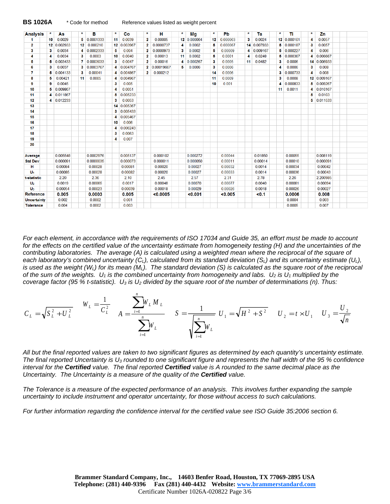|  |  | <b>BS 1026/</b> |  |
|--|--|-----------------|--|
|--|--|-----------------|--|

| <b>Analysis</b>    | *  | As          | $\star$ | в           | *  | Co          | $\star$        | н            | $\star$ | Mq          | $\star$ | Pb       | *  | Ta          | $\star$ | Tì          | 大 | Zn          |  |
|--------------------|----|-------------|---------|-------------|----|-------------|----------------|--------------|---------|-------------|---------|----------|----|-------------|---------|-------------|---|-------------|--|
|                    | 10 | 0.0029      |         | 5 0.0001333 | 11 | 0.0039      | 2              | 0.00005      |         | 12 0.000064 | 12      | 0.000063 | 3  | 0.0024      |         | 12 0.000101 | 4 | 0.0057      |  |
| $\overline{2}$     |    | 12 0 002933 |         | 12 0.000210 |    | 12 0.003967 | $\overline{2}$ | 0.0000737    | 4       | 0.0002      | 5       | 0.000067 |    | 14 0.007933 |         | 5 0.000187  | 3 | 0.0057      |  |
| 3                  | 3  | 0.0034      |         | 4 0.0002333 | 5  | 0.004       | 2              | 0.0000973    | 3       | 0.0002      | 5       | 0.00009  |    | 4 0.009167  |         | 5 0.000227  | 4 | 0.006       |  |
|                    |    | 0.0034      | 3       | 0.0003      | 10 | 0.0040      | 2              | 0.00013      | 11      | 0.0002      | 5       | 0.0001   | 4  | 0.0248      |         | 5 0.000367  | 4 | 0.006667    |  |
| 5                  | 5  | 0.003433    |         | 7 0.0003033 | 3  | 0.0047      | $\mathbf{2}$   | 0.00016      | 4       | 0.000267    | 3       | 0.0005   | 11 | 0.0482      | 3       | 0.0006      |   | 14 0.006933 |  |
| 6                  | 3  | 0.0037      |         | 3 0.0003767 | 4  | 0.004767    |                | 2 0.00019667 | 5       | 0.0006      | 3       | 0.0006   |    |             |         | 0.0006      | 3 | 0.008       |  |
| 7                  | 5  | 0.004133    | 3       | 0.00041     | 4  | 0.004867    | 2              | 0.000212     |         |             | 14      | 0.0006   |    |             | 3       | 0.000733    | 4 | 0.008       |  |
| 8                  | 5  | 0.00421     | 11      | 0.0005      | 4  | 0.004967    |                |              |         |             | 11      | 0.0009   |    |             | 3       | 0.0008      |   | 12 0.009167 |  |
| 9                  | 9  | 0.0045      |         |             | 3  | 0.005       |                |              |         |             | 10      | 0.001    |    |             |         | 0.000833    |   | 5 0.009267  |  |
| 10                 | 5  | 0.009867    |         |             | 4  | 0.0051      |                |              |         |             |         |          |    |             | 11      | 0.0011      |   | 4 0.010167  |  |
| 11                 |    | 4 0.011867  |         |             | 5  | 0.005233    |                |              |         |             |         |          |    |             |         |             | 5 | 0.0103      |  |
| 12                 | 4  | 0.012233    |         |             | 3  | 0.0053      |                |              |         |             |         |          |    |             |         |             |   | 5 0.011533  |  |
| 13                 |    |             |         |             | 14 | 0.005367    |                |              |         |             |         |          |    |             |         |             |   |             |  |
| 14                 |    |             |         |             | 3  | 0.005433    |                |              |         |             |         |          |    |             |         |             |   |             |  |
| 15                 |    |             |         |             | 4  | 0.005467    |                |              |         |             |         |          |    |             |         |             |   |             |  |
| 16                 |    |             |         |             | 10 | 0.006       |                |              |         |             |         |          |    |             |         |             |   |             |  |
| 17                 |    |             |         |             | 4  | 0.006243    |                |              |         |             |         |          |    |             |         |             |   |             |  |
| 18                 |    |             |         |             | 3  | 0.0063      |                |              |         |             |         |          |    |             |         |             |   |             |  |
| 19                 |    |             |         |             | 4  | 0.007       |                |              |         |             |         |          |    |             |         |             |   |             |  |
| 20                 |    |             |         |             |    |             |                |              |         |             |         |          |    |             |         |             |   |             |  |
|                    |    |             |         |             |    |             |                |              |         |             |         |          |    |             |         |             |   |             |  |
| Average            |    | 0.005548    |         | 0.0002976   |    | 0.005137    |                | 0.000102     |         | 0.000272    |         | 0.00044  |    | 0.01850     |         | 0.00055     |   | 0.008119    |  |
| <b>Std Dev</b>     |    | 0.000091    |         | 0.0000035   |    | 0.000073    |                | 0.000011     |         | 0.000050    |         | 0.00011  |    | 0.00014     |         | 0.00010     |   | 0.000091    |  |
| н                  |    | 0.00084     |         | 0.00028     |    | 0.00081     |                | 0.00020      |         | 0.00027     |         | 0.00032  |    | 0.0014      |         | 0.00034     |   | 0.00042     |  |
| U <sub>1</sub>     |    | 0.00085     |         | 0.00028     |    | 0.00082     |                | 0.00020      |         | 0.00027     |         | 0.00033  |    | 0.0014      |         | 0.00036     |   | 0.00043     |  |
| t-statistic        |    | 2.20        |         | 2.36        |    | 2.10        |                | 2.45         |         | 2.57        |         | 2.31     |    | 2.78        |         | 2.26        |   | 2.200985    |  |
| U <sub>2</sub>     |    | 0.0019      |         | 0.00065     |    | 0.0017      |                | 0.00048      |         | 0.00070     |         | 0.00077  |    | 0.0040      |         | 0.00081     |   | 0.00094     |  |
| $U_3$              |    | 0.00054     |         | 0.00023     |    | 0.00039     |                | 0.00018      |         | 0.00029     |         | 0.00026  |    | 0.0018      |         | 0.00026     |   | 0.00027     |  |
| Reference          |    | 0.005       |         | 0.0003      |    | 0.005       |                | <0.0005      |         | < 0.001     |         | < 0.005  |    | < 0.1       |         | 0.0006      |   | 0.008       |  |
| <b>Uncertainty</b> |    | 0.002       |         | 0.0002      |    | 0.001       |                |              |         |             |         |          |    |             |         | 0.0004      |   | 0.003       |  |
| <b>Tolerance</b>   |    | 0.004       |         | 0.0002      |    | 0.003       |                |              |         |             |         |          |    |             |         | 0.0005      |   | 0.007       |  |

*For each element, in accordance with the requirements of ISO 17034 and Guide 35, an effort must be made to account*  for the effects on the certified value of the uncertainty estimate from homogeneity testing (H) and the uncertainties of the contributing laboratories. The average (A) is calculated using a weighted mean where the reciprocal of the square of each laboratory's combined uncertainty  $(C_L)$ , calculated from its standard deviation  $(S_L)$  and its uncertainty estimate  $(U_L)$ , *is used as the weight (W<sub>L</sub>) for its mean (M<sub>L</sub>). The standard deviation (S) is calculated as the square root of the reciprocal of the sum of the weights.*  $U_1$  *is the combined uncertainty from homogeneity and labs.*  $U_2$  *is*  $U_1$  *multiplied by the coverage factor (95 % t-statistic). U3 is U2 divided by the square root of the number of determinations (n). Thus:*

$$
C_L = \sqrt{S_L^2 + U_L^2} \qquad W_L = \frac{1}{C_L^2} \qquad A = \frac{\sum_{i=1}^n W_L M_L}{\sum_{i=1}^n W_L} \qquad S = \frac{1}{\sqrt{\sum_{i=1}^n W_L}} \quad U_1 = \sqrt{H^2 + S^2} \qquad U_2 = t \times U_1 \qquad U_3 = \frac{U_2}{\sqrt{n}}
$$

*All but the final reported values are taken to two significant figures as determined by each quantity's uncertainty estimate. The final reported Uncertainty is U3 rounded to one significant figure and represents the half width of the 95 % confidence interval for the Certified value. The final reported Certified value is A rounded to the same decimal place as the Uncertainty. The Uncertainty is a measure of the quality of the Certified value.* 

*The Tolerance is a measure of the expected performance of an analysis. This involves further expanding the sample uncertainty to include instrument and operator uncertainty, for those without access to such calculations.*

*For further information regarding the confidence interval for the certified value see ISO Guide 35:2006 section 6.*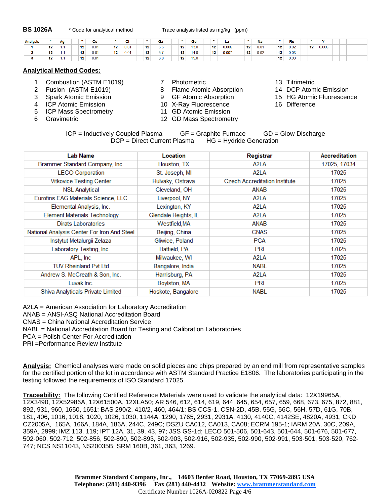**BS 1026A** \* Code for analytical method Trace analysis listed as mg/kg (ppm)

| <b>Analysis</b> |                  | Aq |                 | Сe   |    | ີ    |    | Ga         |                  | Ge   |    | . .   |                  | Na   |                 | Re   |                 |       |  |
|-----------------|------------------|----|-----------------|------|----|------|----|------------|------------------|------|----|-------|------------------|------|-----------------|------|-----------------|-------|--|
|                 | 12               |    | 12              | 0.01 | 12 | 0.01 | 12 | E E.<br>ww | 12 <sup>12</sup> | 13.0 | 12 | 0.006 | 12               | 0.01 | 12 <sub>1</sub> | 0.02 | 12 <sup>°</sup> | 0.006 |  |
|                 | 12 <sup>12</sup> |    | 12 <sub>1</sub> | 0.01 | 12 | 0.01 | 12 | $-7$       | 12 <sub>1</sub>  | 14.0 | 12 | 0.007 | 12 <sup>12</sup> | 0.02 | 12 <sub>1</sub> | 0.03 |                 |       |  |
|                 | 12               |    | 12              | 0.01 |    |      | 12 | 6.0        | 12 <sub>1</sub>  | 15.0 |    |       |                  |      | 12 <sup>1</sup> | 0.03 |                 |       |  |

## **Analytical Method Codes:**

- 1 Combustion (ASTM E1019) <br>
2 Fusion (ASTM E1019) <br>
2 Fusion (ASTM E1019) <br>
2 Fusion Computer Atomic Absorption 14 DCP Atomic Emission
- 
- 
- 
- 
- 
- 
- 2 Fusion (ASTM E1019) 8 Flame Atomic Absorption
- 3 Spark Atomic Emission 9 GF Atomic Absorption 15 HG Atomic Fluorescence<br>19 HCP Atomic Emission 10 X-Rav Fluorescence 16 Difference
	- 10 X-Ray Fluorescence 10 A-Ray Fluorescence
- 5 ICP Mass Spectrometry 11 GD Atomic Emission
- 6 Gravimetric 12 GD Mass Spectrometry
- 
- 
- 
- 
- $ICP = Inductively Coupled Plasma$  GF = Graphite Furnace GD = Glow Discharge DCP = Direct Current Plasma HG = Hydride Generation

| <b>Lab Name</b>                             | <b>Location</b>      | Registrar                            | <b>Accreditation</b> |
|---------------------------------------------|----------------------|--------------------------------------|----------------------|
| Brammer Standard Company, Inc.              | Houston, TX          | A2LA                                 | 17025, 17034         |
| <b>LECO Corporation</b>                     | St. Joseph, MI       | A <sub>2</sub> LA                    | 17025                |
| <b>Vitkovice Testing Center</b>             | Hulvaky, Ostrava     | <b>Czech Accreditation Institute</b> | 17025                |
| <b>NSL Analytical</b>                       | Cleveland, OH        | ANAB                                 | 17025                |
| Eurofins EAG Materials Science, LLC         | Liverpool, NY        | A <sub>2</sub> LA                    | 17025                |
| Elemental Analysis, Inc.                    | Lexington, KY        | A <sub>2</sub> LA                    | 17025                |
| <b>Element Materials Technology</b>         | Glendale Heights, IL | A <sub>2</sub> LA                    | 17025                |
| Dirats Laboratories                         | Westfield,MA         | ANAB                                 | 17025                |
| National Analysis Center For Iron And Steel | Beijing, China       | <b>CNAS</b>                          | 17025                |
| Instytut Metalurgii Zelaza                  | Gliwice, Poland      | <b>PCA</b>                           | 17025                |
| Laboratory Testing, Inc.                    | Hatfield, PA         | <b>PRI</b>                           | 17025                |
| APL, Inc.                                   | Milwaukee, WI        | A <sub>2</sub> LA                    | 17025                |
| <b>TUV Rheinland Pvt Ltd</b>                | Bangalore, India     | <b>NABL</b>                          | 17025                |
| Andrew S. McCreath & Son, Inc.              | Harrisburg, PA       | A <sub>2</sub> LA                    | 17025                |
| Luvak Inc.                                  | Boylston, MA         | <b>PRI</b>                           | 17025                |
| Shiva Analyticals Private Limited           | Hoskote, Bangalore   | <b>NABL</b>                          | 17025                |

A2LA = American Association for Laboratory Accreditation

ANAB = ANSI-ASQ National Accreditation Board

CNAS = China National Accreditation Service

NABL = National Accreditation Board for Testing and Calibration Laboratories

PCA = Polish Center For Accreditation

PRI =Performance Review Institute

**Analysis:** Chemical analyses were made on solid pieces and chips prepared by an end mill from representative samples for the certified portion of the lot in accordance with ASTM Standard Practice E1806. The laboratories participating in the testing followed the requirements of ISO Standard 17025.

**Traceability:** The following Certified Reference Materials were used to validate the analytical data: 12X19965A, 12X3490, 12X52986A, 12X61500A, 12XLA50; AR 546, 612, 614, 619, 644, 645, 654, 657, 659, 668, 673, 675, 872, 881, 892, 931, 960, 1650, 1651; BAS 290/2, 410/2, 460, 464/1; BS CCS-1, CSN-2D, 45B, 55G, 56C, 56H, 57D, 61G, 70B, 181, 406, 1016, 1018, 1020, 1026, 1030, 1144A, 1290, 1765, 2931, 2931A, 4130, 4140C, 4142SE, 4820A, 4931; CKD CZ2005A, 165A, 166A, 184A, 186A, 244C, 249C; DSZU CA012, CA013, CA08; ECRM 195-1; IARM 20A, 30C, 209A, 359A, 2999; IMZ 113, 119; IPT 12A, 31, 39, 43, 97; JSS GS-1d; LECO 501-506, 501-643, 501-644, 501-676, 501-677, 502-060, 502-712, 502-856, 502-890, 502-893, 502-903, 502-916, 502-935, 502-990, 502-991, 503-501, 503-520, 762- 747; NCS NS11043, NS20035B; SRM 160B, 361, 363, 1269.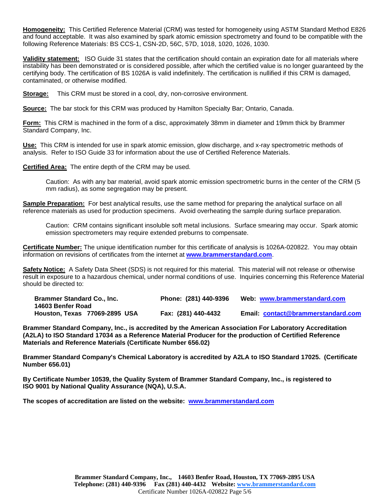**Homogeneity:** This Certified Reference Material (CRM) was tested for homogeneity using ASTM Standard Method E826 and found acceptable. It was also examined by spark atomic emission spectrometry and found to be compatible with the following Reference Materials: BS CCS-1, CSN-2D, 56C, 57D, 1018, 1020, 1026, 1030.

**Validity statement:** ISO Guide 31 states that the certification should contain an expiration date for all materials where instability has been demonstrated or is considered possible, after which the certified value is no longer guaranteed by the certifying body. The certification of BS 1026A is valid indefinitely. The certification is nullified if this CRM is damaged, contaminated, or otherwise modified.

**Storage:** This CRM must be stored in a cool, dry, non-corrosive environment.

**Source:** The bar stock for this CRM was produced by Hamilton Specialty Bar; Ontario, Canada.

**Form:** This CRM is machined in the form of a disc, approximately 38mm in diameter and 19mm thick by Brammer Standard Company, Inc.

**Use:** This CRM is intended for use in spark atomic emission, glow discharge, and x-ray spectrometric methods of analysis. Refer to ISO Guide 33 for information about the use of Certified Reference Materials.

**Certified Area:** The entire depth of the CRM may be used.

Caution: As with any bar material, avoid spark atomic emission spectrometric burns in the center of the CRM (5 mm radius), as some segregation may be present.

**Sample Preparation:** For best analytical results, use the same method for preparing the analytical surface on all reference materials as used for production specimens. Avoid overheating the sample during surface preparation.

Caution: CRM contains significant insoluble soft metal inclusions. Surface smearing may occur. Spark atomic emission spectrometers may require extended preburns to compensate.

**Certificate Number:** The unique identification number for this certificate of analysis is 1026A-020822. You may obtain information on revisions of certificates from the internet at **[www.brammerstandard.com](http://www.brammerstandard.com/)**.

**Safety Notice:** A Safety Data Sheet (SDS) is not required for this material. This material will not release or otherwise result in exposure to a hazardous chemical, under normal conditions of use. Inquiries concerning this Reference Material should be directed to:

| <b>Brammer Standard Co., Inc.</b><br>14603 Benfer Road | Phone: (281) 440-9396 | Web: www.brammerstandard.com       |
|--------------------------------------------------------|-----------------------|------------------------------------|
| Houston, Texas 77069-2895 USA                          | Fax: (281) 440-4432   | Email: contact@brammerstandard.com |

**Brammer Standard Company, Inc., is accredited by the American Association For Laboratory Accreditation (A2LA) to ISO Standard 17034 as a Reference Material Producer for the production of Certified Reference Materials and Reference Materials (Certificate Number 656.02)**

**Brammer Standard Company's Chemical Laboratory is accredited by A2LA to ISO Standard 17025. (Certificate Number 656.01)**

**By Certificate Number 10539, the Quality System of Brammer Standard Company, Inc., is registered to ISO 9001 by National Quality Assurance (NQA), U.S.A.** 

**The scopes of accreditation are listed on the website: [www.brammerstandard.com](http://www.brammerstandard.com/)**